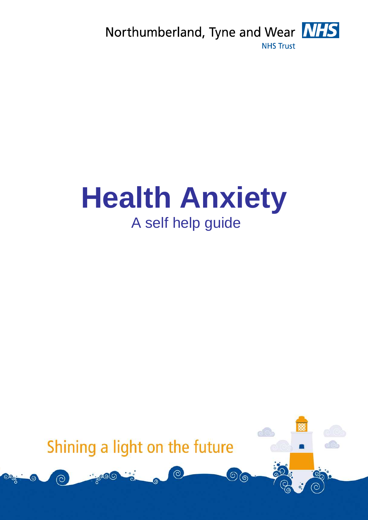

# **Health Anxiety**  A self help guide

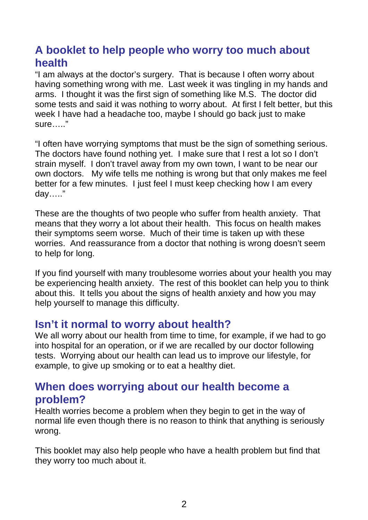# **A booklet to help people who worry too much about health**

"I am always at the doctor's surgery. That is because I often worry about having something wrong with me. Last week it was tingling in my hands and arms. I thought it was the first sign of something like M.S. The doctor did some tests and said it was nothing to worry about. At first I felt better, but this week I have had a headache too, maybe I should go back just to make sure….."

"I often have worrying symptoms that must be the sign of something serious. The doctors have found nothing yet. I make sure that I rest a lot so I don't strain myself. I don't travel away from my own town, I want to be near our own doctors. My wife tells me nothing is wrong but that only makes me feel better for a few minutes. I just feel I must keep checking how I am every day….."

These are the thoughts of two people who suffer from health anxiety. That means that they worry a lot about their health. This focus on health makes their symptoms seem worse. Much of their time is taken up with these worries. And reassurance from a doctor that nothing is wrong doesn't seem to help for long.

If you find yourself with many troublesome worries about your health you may be experiencing health anxiety. The rest of this booklet can help you to think about this. It tells you about the signs of health anxiety and how you may help yourself to manage this difficulty.

## **Isn't it normal to worry about health?**

We all worry about our health from time to time, for example, if we had to go into hospital for an operation, or if we are recalled by our doctor following tests. Worrying about our health can lead us to improve our lifestyle, for example, to give up smoking or to eat a healthy diet.

## **When does worrying about our health become a problem?**

Health worries become a problem when they begin to get in the way of normal life even though there is no reason to think that anything is seriously wrong.

This booklet may also help people who have a health problem but find that they worry too much about it.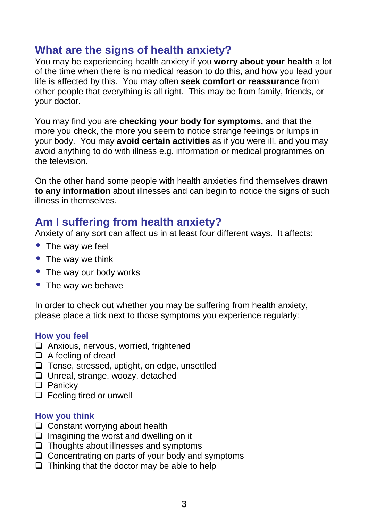## **What are the signs of health anxiety?**

You may be experiencing health anxiety if you **worry about your health** a lot of the time when there is no medical reason to do this, and how you lead your life is affected by this. You may often **seek comfort or reassurance** from other people that everything is all right. This may be from family, friends, or your doctor.

You may find you are **checking your body for symptoms,** and that the more you check, the more you seem to notice strange feelings or lumps in your body. You may **avoid certain activities** as if you were ill, and you may avoid anything to do with illness e.g. information or medical programmes on the television.

On the other hand some people with health anxieties find themselves **drawn to any information** about illnesses and can begin to notice the signs of such illness in themselves.

## **Am I suffering from health anxiety?**

Anxiety of any sort can affect us in at least four different ways. It affects:

- The way we feel
- The way we think
- The way our body works
- The way we behave

In order to check out whether you may be suffering from health anxiety, please place a tick next to those symptoms you experience regularly:

#### **How you feel**

- □ Anxious, nervous, worried, frightened
- $\Box$  A feeling of dread
- $\Box$  Tense, stressed, uptight, on edge, unsettled
- □ Unreal, strange, woozy, detached
- $\Box$  Panicky
- □ Feeling tired or unwell

#### **How you think**

- $\Box$  Constant worrying about health
- $\Box$  Imagining the worst and dwelling on it
- $\Box$  Thoughts about illnesses and symptoms
- $\Box$  Concentrating on parts of your body and symptoms
- $\Box$  Thinking that the doctor may be able to help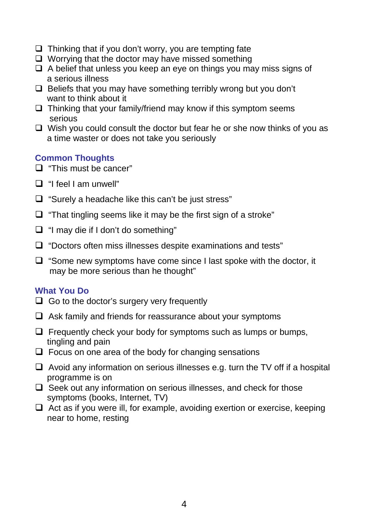- $\Box$  Thinking that if you don't worry, you are tempting fate
- $\Box$  Worrving that the doctor may have missed something
- $\Box$  A belief that unless you keep an eye on things you may miss signs of a serious illness
- $\Box$  Beliefs that you may have something terribly wrong but you don't want to think about it
- $\Box$  Thinking that your family/friend may know if this symptom seems serious
- $\Box$  Wish you could consult the doctor but fear he or she now thinks of you as a time waster or does not take you seriously

#### **Common Thoughts**

- $\Box$  "This must be cancer"
- $\Box$  "I feel I am unwell"
- $\Box$  "Surely a headache like this can't be just stress"
- "That tingling seems like it may be the first sign of a stroke"
- $\Box$  "I may die if I don't do something"
- $\Box$  "Doctors often miss illnesses despite examinations and tests"
- $\Box$  "Some new symptoms have come since I last spoke with the doctor, it may be more serious than he thought"

#### **What You Do**

- $\Box$  Go to the doctor's surgery very frequently
- $\Box$  Ask family and friends for reassurance about your symptoms
- $\Box$  Frequently check your body for symptoms such as lumps or bumps, tingling and pain
- $\Box$  Focus on one area of the body for changing sensations
- $\Box$  Avoid any information on serious illnesses e.g. turn the TV off if a hospital programme is on
- $\Box$  Seek out any information on serious illnesses, and check for those symptoms (books, Internet, TV)
- $\Box$  Act as if you were ill, for example, avoiding exertion or exercise, keeping near to home, resting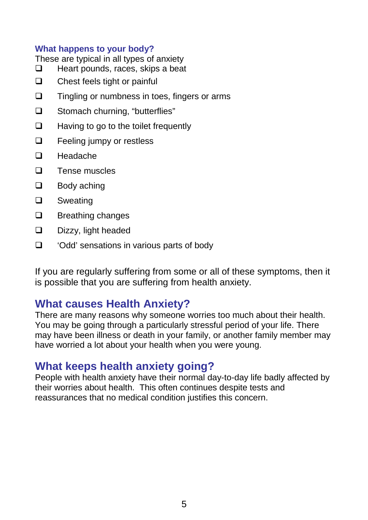#### **What happens to your body?**

These are typical in all types of anxiety

- $\Box$  Heart pounds, races, skips a beat
- $\Box$  Chest feels tight or painful
- $\Box$  Tingling or numbness in toes, fingers or arms
- □ Stomach churning, "butterflies"
- $\Box$  Having to go to the toilet frequently
- **Example 3** Feeling jumpy or restless
- $\Box$  Headache
- $\Box$  Tense muscles
- $\Box$  Body aching
- **Q** Sweating
- $\Box$  Breathing changes
- $\square$  Dizzy, light headed
- □ *'Odd'* sensations in various parts of body

If you are regularly suffering from some or all of these symptoms, then it is possible that you are suffering from health anxiety.

## **What causes Health Anxiety?**

There are many reasons why someone worries too much about their health. You may be going through a particularly stressful period of your life. There may have been illness or death in your family, or another family member may have worried a lot about your health when you were young.

## **What keeps health anxiety going?**

People with health anxiety have their normal day-to-day life badly affected by their worries about health. This often continues despite tests and reassurances that no medical condition justifies this concern.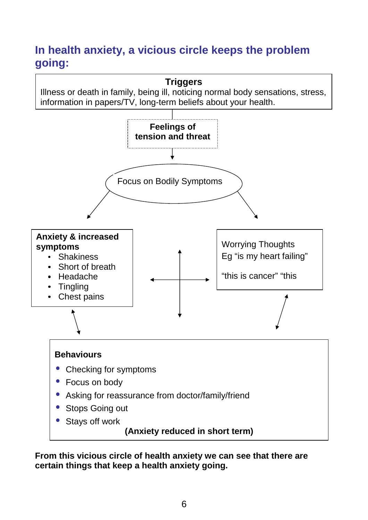# **In health anxiety, a vicious circle keeps the problem going:**



**From this vicious circle of health anxiety we can see that there are certain things that keep a health anxiety going.**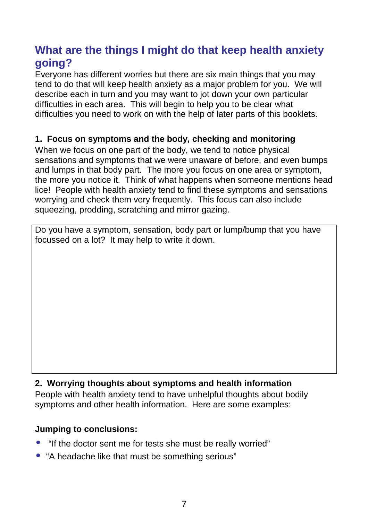# **What are the things I might do that keep health anxiety going?**

Everyone has different worries but there are six main things that you may tend to do that will keep health anxiety as a major problem for you. We will describe each in turn and you may want to jot down your own particular difficulties in each area. This will begin to help you to be clear what difficulties you need to work on with the help of later parts of this booklets.

## **1. Focus on symptoms and the body, checking and monitoring**

When we focus on one part of the body, we tend to notice physical sensations and symptoms that we were unaware of before, and even bumps and lumps in that body part. The more you focus on one area or symptom, the more you notice it. Think of what happens when someone mentions head lice! People with health anxiety tend to find these symptoms and sensations worrying and check them very frequently. This focus can also include squeezing, prodding, scratching and mirror gazing.

Do you have a symptom, sensation, body part or lump/bump that you have focussed on a lot? It may help to write it down.

## **2. Worrying thoughts about symptoms and health information**

People with health anxiety tend to have unhelpful thoughts about bodily symptoms and other health information. Here are some examples:

#### **Jumping to conclusions:**

- "If the doctor sent me for tests she must be really worried"
- "A headache like that must be something serious"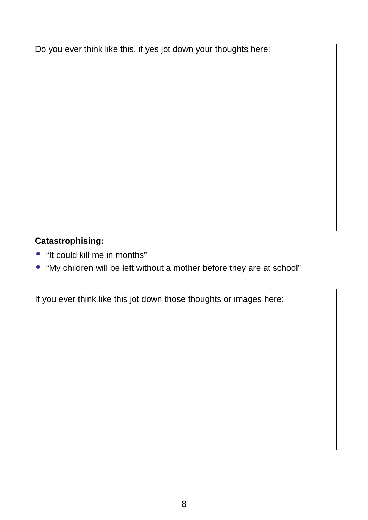Do you ever think like this, if yes jot down your thoughts here:

## **Catastrophising:**

- "It could kill me in months"
- "My children will be left without a mother before they are at school"

If you ever think like this jot down those thoughts or images here: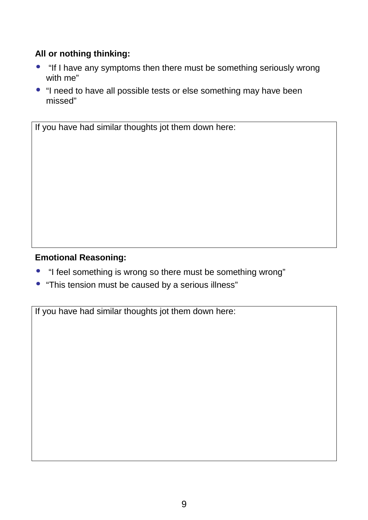## **All or nothing thinking:**

- "If I have any symptoms then there must be something seriously wrong with me"
- "I need to have all possible tests or else something may have been missed"

If you have had similar thoughts jot them down here:

#### **Emotional Reasoning:**

- "I feel something is wrong so there must be something wrong"
- "This tension must be caused by a serious illness"

If you have had similar thoughts jot them down here: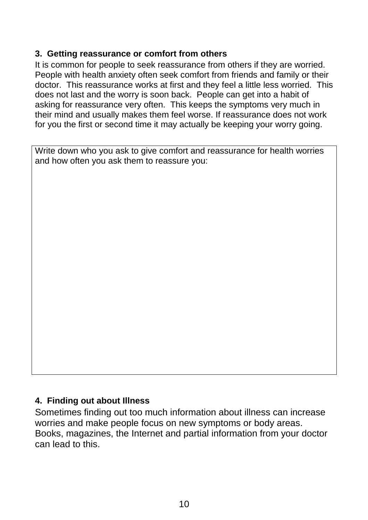#### **3. Getting reassurance or comfort from others**

It is common for people to seek reassurance from others if they are worried. People with health anxiety often seek comfort from friends and family or their doctor. This reassurance works at first and they feel a little less worried. This does not last and the worry is soon back. People can get into a habit of asking for reassurance very often. This keeps the symptoms very much in their mind and usually makes them feel worse. If reassurance does not work for you the first or second time it may actually be keeping your worry going.

Write down who you ask to give comfort and reassurance for health worries and how often you ask them to reassure you:

#### **4. Finding out about Illness**

Sometimes finding out too much information about illness can increase worries and make people focus on new symptoms or body areas. Books, magazines, the Internet and partial information from your doctor can lead to this.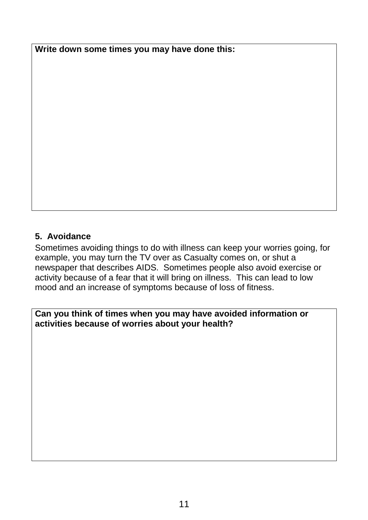**Write down some times you may have done this:** 

## **5. Avoidance**

Sometimes avoiding things to do with illness can keep your worries going, for example, you may turn the TV over as Casualty comes on, or shut a newspaper that describes AIDS. Sometimes people also avoid exercise or activity because of a fear that it will bring on illness. This can lead to low mood and an increase of symptoms because of loss of fitness.

#### **Can you think of times when you may have avoided information or activities because of worries about your health?**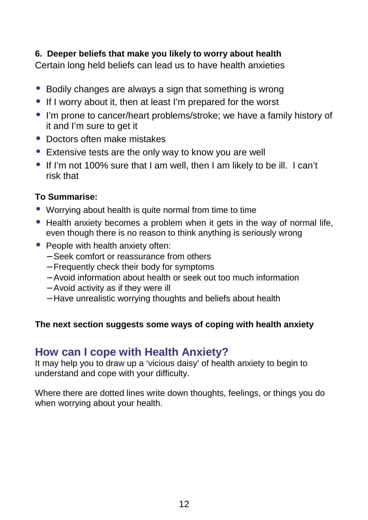#### **6. Deeper beliefs that make you likely to worry about health**

Certain long held beliefs can lead us to have health anxieties

- Bodily changes are always a sign that something is wrong
- If I worry about it, then at least I'm prepared for the worst
- I'm prone to cancer/heart problems/stroke; we have a family history of it and I'm sure to get it
- Doctors often make mistakes
- Extensive tests are the only way to know you are well
- If I'm not 100% sure that I am well, then I am likely to be ill. I can't risk that

## **To Summarise:**

- Worrying about health is quite normal from time to time
- Health anxiety becomes a problem when it gets in the way of normal life, even though there is no reason to think anything is seriously wrong
- People with health anxiety often:
	- − Seek comfort or reassurance from others
	- − Frequently check their body for symptoms
	- − Avoid information about health or seek out too much information
	- − Avoid activity as if they were ill
	- − Have unrealistic worrying thoughts and beliefs about health

#### **The next section suggests some ways of coping with health anxiety**

## **How can I cope with Health Anxiety?**

It may help you to draw up a 'vicious daisy' of health anxiety to begin to understand and cope with your difficulty.

Where there are dotted lines write down thoughts, feelings, or things you do when worrying about your health.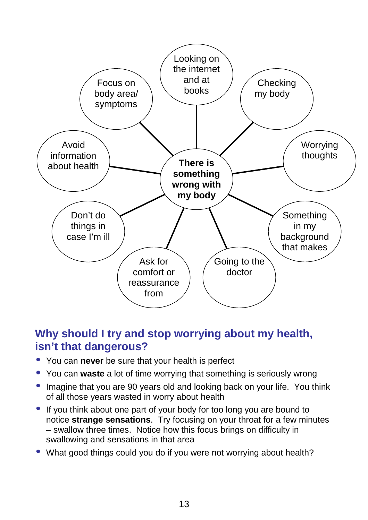

## **Why should I try and stop worrying about my health, isn't that dangerous?**

- You can **never** be sure that your health is perfect
- You can **waste** a lot of time worrying that something is seriously wrong
- Imagine that you are 90 years old and looking back on your life. You think of all those years wasted in worry about health
- If you think about one part of your body for too long you are bound to notice **strange sensations**. Try focusing on your throat for a few minutes – swallow three times. Notice how this focus brings on difficulty in swallowing and sensations in that area
- What good things could you do if you were not worrying about health?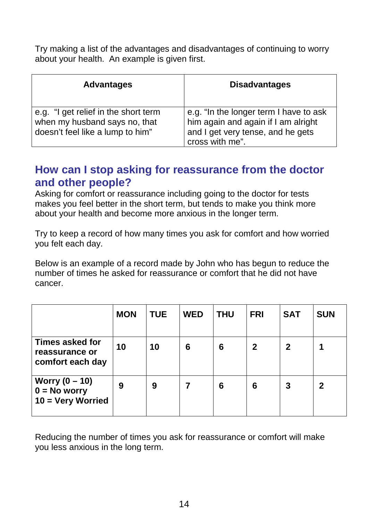Try making a list of the advantages and disadvantages of continuing to worry about your health. An example is given first.

| <b>Advantages</b>                                                                                         | <b>Disadvantages</b>                                                                                                                  |
|-----------------------------------------------------------------------------------------------------------|---------------------------------------------------------------------------------------------------------------------------------------|
| e.g. "I get relief in the short term<br>when my husband says no, that<br>doesn't feel like a lump to him" | e.g. "In the longer term I have to ask<br>him again and again if I am alright<br>and I get very tense, and he gets<br>cross with me". |

## **How can I stop asking for reassurance from the doctor and other people?**

Asking for comfort or reassurance including going to the doctor for tests makes you feel better in the short term, but tends to make you think more about your health and become more anxious in the longer term.

Try to keep a record of how many times you ask for comfort and how worried you felt each day.

Below is an example of a record made by John who has begun to reduce the number of times he asked for reassurance or comfort that he did not have cancer.

|                                                                              | <b>MON</b> | <b>TUE</b> | <b>WED</b> | <b>THU</b> | <b>FRI</b>   | <b>SAT</b>   | <b>SUN</b>  |
|------------------------------------------------------------------------------|------------|------------|------------|------------|--------------|--------------|-------------|
| <b>Times asked for</b><br>reassurance or<br>comfort each day                 | 10         | 10         | 6          | 6          | $\mathbf{2}$ | $\mathbf{2}$ |             |
| <b>Worry <math>(0 - 10)</math></b><br>$0 = No$ worry<br>$10 = V$ ery Worried | 9          | 9          |            | 6          | 6            | 3            | $\mathbf 2$ |

Reducing the number of times you ask for reassurance or comfort will make you less anxious in the long term.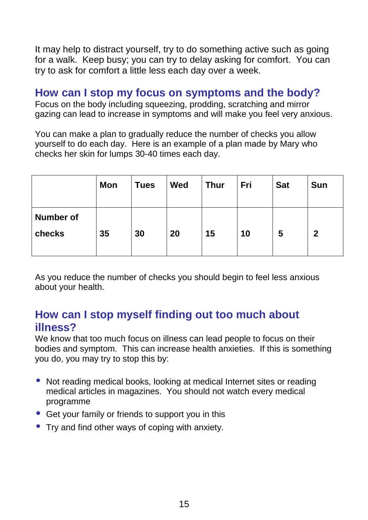It may help to distract yourself, try to do something active such as going for a walk. Keep busy; you can try to delay asking for comfort. You can try to ask for comfort a little less each day over a week.

## **How can I stop my focus on symptoms and the body?**

Focus on the body including squeezing, prodding, scratching and mirror gazing can lead to increase in symptoms and will make you feel very anxious.

You can make a plan to gradually reduce the number of checks you allow yourself to do each day. Here is an example of a plan made by Mary who checks her skin for lumps 30-40 times each day.

|                            | Mon | <b>Tues</b> | <b>Wed</b> | <b>Thur</b> | Fri | <b>Sat</b> | <b>Sun</b>  |
|----------------------------|-----|-------------|------------|-------------|-----|------------|-------------|
| <b>Number of</b><br>checks | 35  | 30          | 20         | 15          | 10  | 5          | $\mathbf 2$ |

As you reduce the number of checks you should begin to feel less anxious about your health.

# **How can I stop myself finding out too much about illness?**

We know that too much focus on illness can lead people to focus on their bodies and symptom. This can increase health anxieties. If this is something you do, you may try to stop this by:

- Not reading medical books, looking at medical Internet sites or reading medical articles in magazines. You should not watch every medical programme
- Get your family or friends to support you in this
- Try and find other ways of coping with anxiety.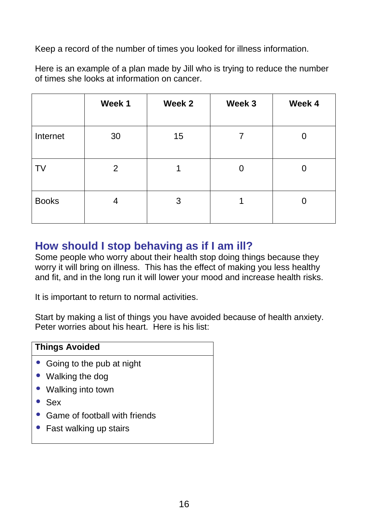Keep a record of the number of times you looked for illness information.

Here is an example of a plan made by Jill who is trying to reduce the number of times she looks at information on cancer.

|              | Week 1 | Week 2 | Week 3 | Week 4 |
|--------------|--------|--------|--------|--------|
| Internet     | 30     | 15     | 7      | 0      |
| TV           | 2      | 1      | 0      | 0      |
| <b>Books</b> | 4      | 3      |        |        |

## **How should I stop behaving as if I am ill?**

Some people who worry about their health stop doing things because they worry it will bring on illness. This has the effect of making you less healthy and fit, and in the long run it will lower your mood and increase health risks.

It is important to return to normal activities.

Start by making a list of things you have avoided because of health anxiety. Peter worries about his heart. Here is his list:

| <b>Things Avoided</b>           |  |  |  |  |
|---------------------------------|--|--|--|--|
| • Going to the pub at night     |  |  |  |  |
| • Walking the dog               |  |  |  |  |
| • Walking into town             |  |  |  |  |
| $\bullet$ Sex                   |  |  |  |  |
| • Game of football with friends |  |  |  |  |
| • Fast walking up stairs        |  |  |  |  |
|                                 |  |  |  |  |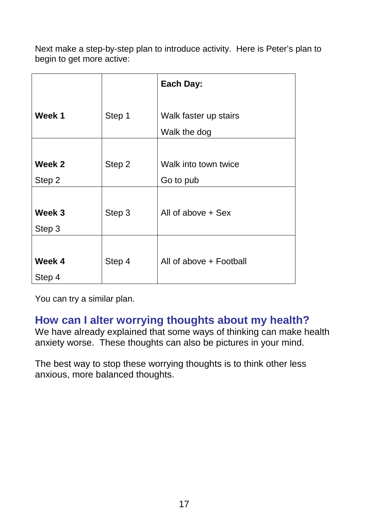Next make a step-by-step plan to introduce activity. Here is Peter's plan to begin to get more active:

|        |        | Each Day:               |
|--------|--------|-------------------------|
|        |        |                         |
| Week 1 | Step 1 | Walk faster up stairs   |
|        |        | Walk the dog            |
|        |        |                         |
| Week 2 | Step 2 | Walk into town twice    |
| Step 2 |        | Go to pub               |
|        |        |                         |
| Week 3 | Step 3 | All of above + Sex      |
| Step 3 |        |                         |
|        |        |                         |
| Week 4 | Step 4 | All of above + Football |
| Step 4 |        |                         |

You can try a similar plan.

## **How can I alter worrying thoughts about my health?**

We have already explained that some ways of thinking can make health anxiety worse. These thoughts can also be pictures in your mind.

The best way to stop these worrying thoughts is to think other less anxious, more balanced thoughts.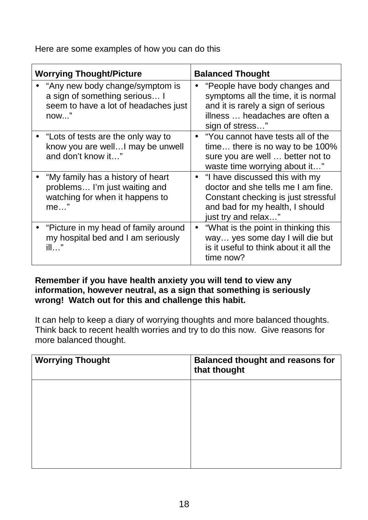Here are some examples of how you can do this

| <b>Worrying Thought/Picture</b>                                                                                  | <b>Balanced Thought</b>                                                                                                                                                 |  |  |
|------------------------------------------------------------------------------------------------------------------|-------------------------------------------------------------------------------------------------------------------------------------------------------------------------|--|--|
| "Any new body change/symptom is<br>a sign of something serious I<br>seem to have a lot of headaches just<br>now" | • "People have body changes and<br>symptoms all the time, it is normal<br>and it is rarely a sign of serious<br>illness  headaches are often a<br>sign of stress"       |  |  |
| "Lots of tests are the only way to<br>know you are well I may be unwell<br>and don't know it"                    | • "You cannot have tests all of the<br>time there is no way to be 100%<br>sure you are well  better not to<br>waste time worrying about it"                             |  |  |
| "My family has a history of heart<br>problems I'm just waiting and<br>watching for when it happens to<br>$me$ "  | • "I have discussed this with my<br>doctor and she tells me I am fine.<br>Constant checking is just stressful<br>and bad for my health, I should<br>just try and relax" |  |  |
| "Picture in my head of family around<br>my hospital bed and I am seriously<br>ill…"                              | "What is the point in thinking this<br>$\bullet$<br>way yes some day I will die but<br>is it useful to think about it all the<br>time now?                              |  |  |

#### **Remember if you have health anxiety you will tend to view any information, however neutral, as a sign that something is seriously wrong! Watch out for this and challenge this habit.**

It can help to keep a diary of worrying thoughts and more balanced thoughts. Think back to recent health worries and try to do this now. Give reasons for more balanced thought.

| <b>Worrying Thought</b> | <b>Balanced thought and reasons for</b><br>that thought |
|-------------------------|---------------------------------------------------------|
|                         |                                                         |
|                         |                                                         |
|                         |                                                         |
|                         |                                                         |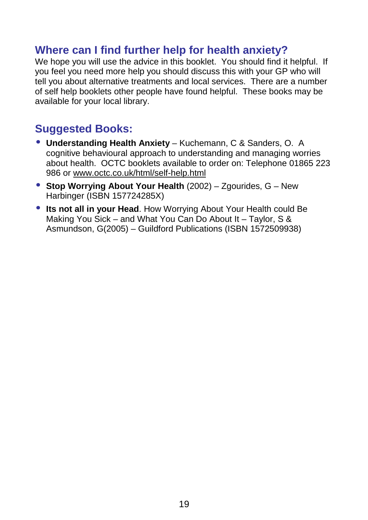## **Where can I find further help for health anxiety?**

We hope you will use the advice in this booklet. You should find it helpful. If you feel you need more help you should discuss this with your GP who will tell you about alternative treatments and local services. There are a number of self help booklets other people have found helpful. These books may be available for your local library.

# **Suggested Books:**

- **Understanding Health Anxiety** Kuchemann, C & Sanders, O. A cognitive behavioural approach to understanding and managing worries about health. OCTC booklets available to order on: Telephone 01865 223 986 or www.octc.co.uk/html/self-help.html
- **Stop Worrying About Your Health** (2002) Zgourides, G New Harbinger (ISBN 157724285X)
- **Its not all in your Head**. How Worrying About Your Health could Be Making You Sick – and What You Can Do About It – Taylor, S & Asmundson, G(2005) – Guildford Publications (ISBN 1572509938)